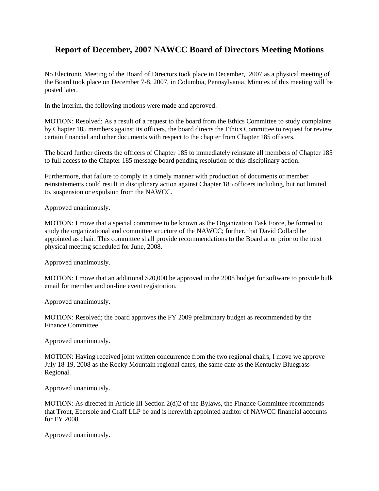## **Report of December, 2007 NAWCC Board of Directors Meeting Motions**

No Electronic Meeting of the Board of Directors took place in December, 2007 as a physical meeting of the Board took place on December 7-8, 2007, in Columbia, Pennsylvania. Minutes of this meeting will be posted later.

In the interim, the following motions were made and approved:

MOTION: Resolved: As a result of a request to the board from the Ethics Committee to study complaints by Chapter 185 members against its officers, the board directs the Ethics Committee to request for review certain financial and other documents with respect to the chapter from Chapter 185 officers.

The board further directs the officers of Chapter 185 to immediately reinstate all members of Chapter 185 to full access to the Chapter 185 message board pending resolution of this disciplinary action.

Furthermore, that failure to comply in a timely manner with production of documents or member reinstatements could result in disciplinary action against Chapter 185 officers including, but not limited to, suspension or expulsion from the NAWCC.

Approved unanimously.

MOTION: I move that a special committee to be known as the Organization Task Force, be formed to study the organizational and committee structure of the NAWCC; further, that David Collard be appointed as chair. This committee shall provide recommendations to the Board at or prior to the next physical meeting scheduled for June, 2008.

Approved unanimously.

MOTION: I move that an additional \$20,000 be approved in the 2008 budget for software to provide bulk email for member and on-line event registration.

Approved unanimously.

MOTION: Resolved; the board approves the FY 2009 preliminary budget as recommended by the Finance Committee.

Approved unanimously.

MOTION: Having received joint written concurrence from the two regional chairs, I move we approve July 18-19, 2008 as the Rocky Mountain regional dates, the same date as the Kentucky Bluegrass Regional.

Approved unanimously.

MOTION: As directed in Article III Section 2(d)2 of the Bylaws, the Finance Committee recommends that Trout, Ebersole and Graff LLP be and is herewith appointed auditor of NAWCC financial accounts for FY 2008.

Approved unanimously.